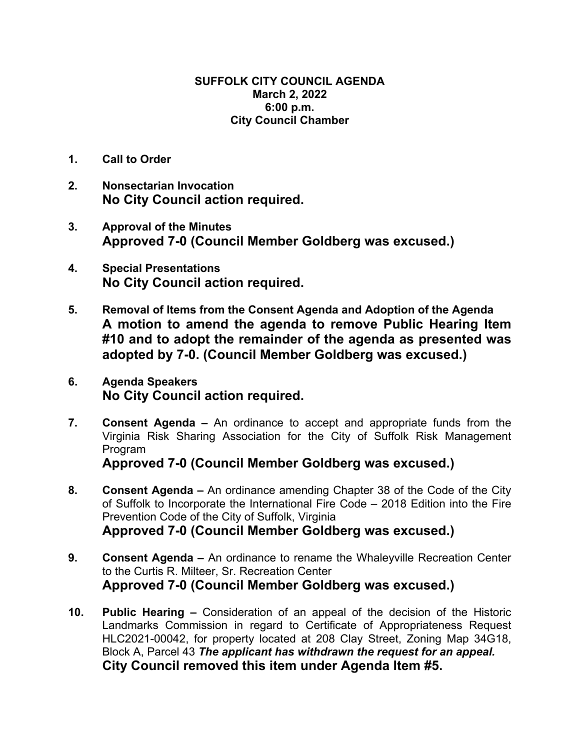## **SUFFOLK CITY COUNCIL AGENDA March 2, 2022 6:00 p.m. City Council Chamber**

- **1. Call to Order**
- **2. Nonsectarian Invocation No City Council action required.**
- **3. Approval of the Minutes Approved 7-0 (Council Member Goldberg was excused.)**
- **4. Special Presentations No City Council action required.**
- **5. Removal of Items from the Consent Agenda and Adoption of the Agenda A motion to amend the agenda to remove Public Hearing Item #10 and to adopt the remainder of the agenda as presented was adopted by 7-0. (Council Member Goldberg was excused.)**
- **6. Agenda Speakers No City Council action required.**
- **7. Consent Agenda** An ordinance to accept and appropriate funds from the Virginia Risk Sharing Association for the City of Suffolk Risk Management **Program**

**Approved 7-0 (Council Member Goldberg was excused.)** 

- **8. Consent Agenda –** An ordinance amending Chapter 38 of the Code of the City of Suffolk to Incorporate the International Fire Code – 2018 Edition into the Fire Prevention Code of the City of Suffolk, Virginia **Approved 7-0 (Council Member Goldberg was excused.)**
- **9. Consent Agenda** An ordinance to rename the Whaleyville Recreation Center to the Curtis R. Milteer, Sr. Recreation Center **Approved 7-0 (Council Member Goldberg was excused.)**
- **10. Public Hearing** Consideration of an appeal of the decision of the Historic Landmarks Commission in regard to Certificate of Appropriateness Request HLC2021-00042, for property located at 208 Clay Street, Zoning Map 34G18, Block A, Parcel 43 *The applicant has withdrawn the request for an appeal.*  **City Council removed this item under Agenda Item #5.**